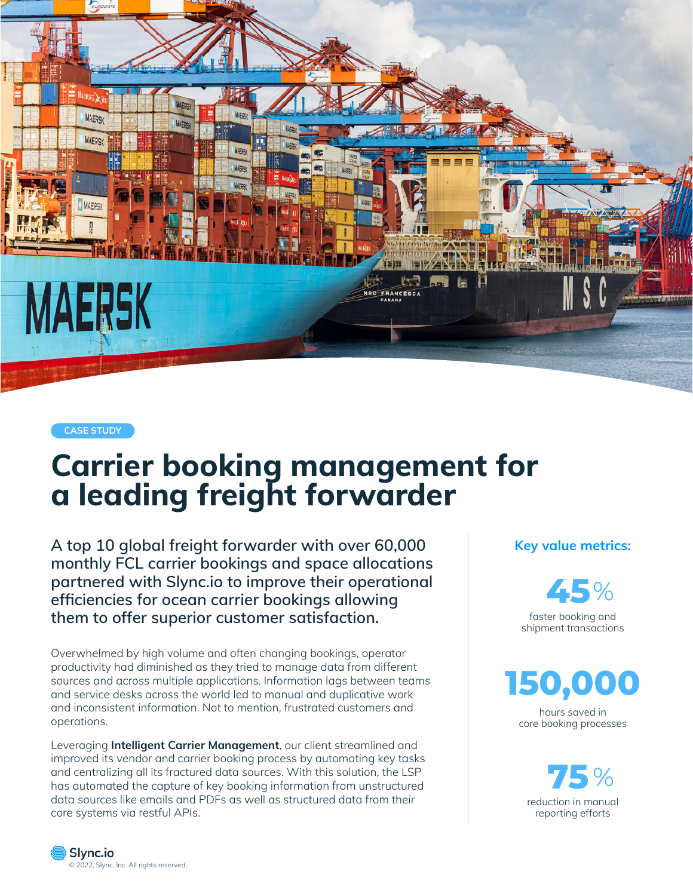

**CASE STUDY**

# **Carrier booking management for a leading freight forwarder**

**A top 10 global freight forwarder with over 60,000 monthly FCL carrier bookings and space allocations partnered with Slync.io to improve their operational efficiencies for ocean carrier bookings allowing them to offer superior customer satisfaction.** 

Overwhelmed by high volume and often changing bookings, operator productivity had diminished as they tried to manage data from different sources and across multiple applications. Information lags between teams and service desks across the world led to manual and duplicative work and inconsistent information. Not to mention, frustrated customers and operations.

Leveraging **Intelligent Carrier Management**, our client streamlined and improved its vendor and carrier booking process by automating key tasks and centralizing all its fractured data sources. With this solution, the LSP has automated the capture of key booking information from unstructured data sources like emails and PDFs as well as structured data from their core systems via restful APIs.

**Key value metrics:**

faster booking and **45**%

shipment transactions



hours saved in core booking processes

reduction in manual reporting efforts **75** %

Slync.io [© 2022, Slync,](https://www.slync.io/) Inc. All rights reserved.